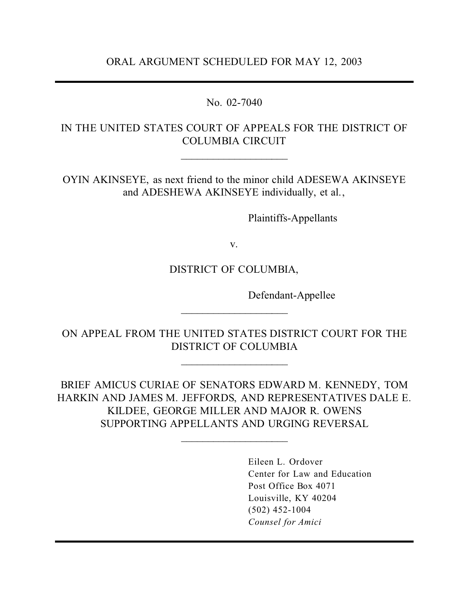No. 02-7040

# IN THE UNITED STATES COURT OF APPEALS FOR THE DISTRICT OF COLUMBIA CIRCUIT

\_\_\_\_\_\_\_\_\_\_\_\_\_\_\_\_\_\_\_\_

OYIN AKINSEYE, as next friend to the minor child ADESEWA AKINSEYE and ADESHEWA AKINSEYE individually, et al.,

Plaintiffs-Appellants

v.

## DISTRICT OF COLUMBIA,

Defendant-Appellee

ON APPEAL FROM THE UNITED STATES DISTRICT COURT FOR THE DISTRICT OF COLUMBIA

 $\overline{\phantom{a}}$ 

 $\overline{\phantom{a}}$  , where  $\overline{\phantom{a}}$ 

BRIEF AMICUS CURIAE OF SENATORS EDWARD M. KENNEDY, TOM HARKIN AND JAMES M. JEFFORDS, AND REPRESENTATIVES DALE E. KILDEE, GEORGE MILLER AND MAJOR R. OWENS SUPPORTING APPELLANTS AND URGING REVERSAL

\_\_\_\_\_\_\_\_\_\_\_\_\_\_\_\_\_\_\_\_

Eileen L. Ordover Center for Law and Education Post Office Box 4071 Louisville, KY 40204 (502) 452-1004 *Counsel for Amici*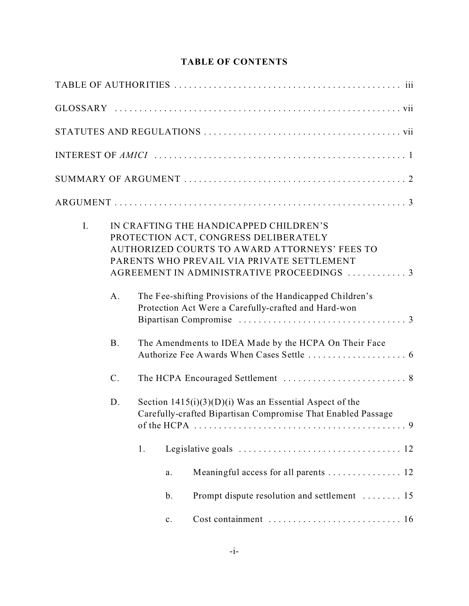### **TABLE OF CONTENTS**

| I. | A.        | IN CRAFTING THE HANDICAPPED CHILDREN'S<br>PROTECTION ACT, CONGRESS DELIBERATELY<br>AUTHORIZED COURTS TO AWARD ATTORNEYS' FEES TO<br>PARENTS WHO PREVAIL VIA PRIVATE SETTLEMENT<br>AGREEMENT IN ADMINISTRATIVE PROCEEDINGS  3<br>The Fee-shifting Provisions of the Handicapped Children's |
|----|-----------|-------------------------------------------------------------------------------------------------------------------------------------------------------------------------------------------------------------------------------------------------------------------------------------------|
|    |           | Protection Act Were a Carefully-crafted and Hard-won                                                                                                                                                                                                                                      |
|    | <b>B.</b> | The Amendments to IDEA Made by the HCPA On Their Face                                                                                                                                                                                                                                     |
|    | $C$ .     |                                                                                                                                                                                                                                                                                           |
|    | D.        | Section $1415(i)(3)(D)(i)$ Was an Essential Aspect of the<br>Carefully-crafted Bipartisan Compromise That Enabled Passage                                                                                                                                                                 |
|    |           | 1.                                                                                                                                                                                                                                                                                        |
|    |           | Meaningful access for all parents  12<br>a.                                                                                                                                                                                                                                               |
|    |           | Prompt dispute resolution and settlement  15<br>$\mathbf b$ .                                                                                                                                                                                                                             |
|    |           | $\mathbf{c}$ .                                                                                                                                                                                                                                                                            |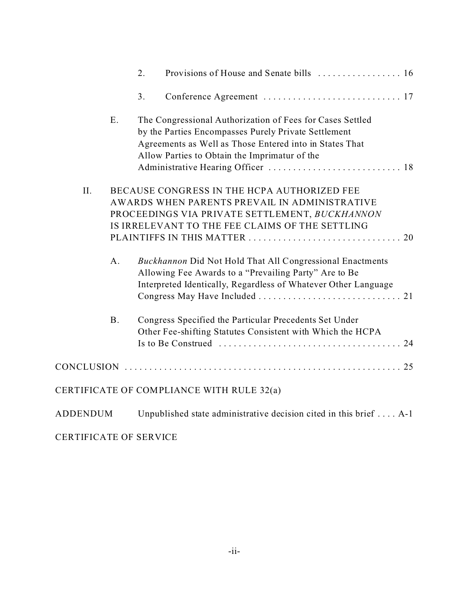|                 |           | 2. |                                                                                            |  |
|-----------------|-----------|----|--------------------------------------------------------------------------------------------|--|
|                 |           | 3. |                                                                                            |  |
|                 | E.        |    | The Congressional Authorization of Fees for Cases Settled                                  |  |
|                 |           |    | by the Parties Encompasses Purely Private Settlement                                       |  |
|                 |           |    | Agreements as Well as Those Entered into in States That                                    |  |
|                 |           |    | Allow Parties to Obtain the Imprimatur of the                                              |  |
|                 |           |    |                                                                                            |  |
| II.             |           |    | BECAUSE CONGRESS IN THE HCPA AUTHORIZED FEE                                                |  |
|                 |           |    | AWARDS WHEN PARENTS PREVAIL IN ADMINISTRATIVE                                              |  |
|                 |           |    | PROCEEDINGS VIA PRIVATE SETTLEMENT, BUCKHANNON                                             |  |
|                 |           |    | IS IRRELEVANT TO THE FEE CLAIMS OF THE SETTLING                                            |  |
|                 |           |    |                                                                                            |  |
|                 | $A$ .     |    | <b>Buckhannon Did Not Hold That All Congressional Enactments</b>                           |  |
|                 |           |    | Allowing Fee Awards to a "Prevailing Party" Are to Be                                      |  |
|                 |           |    | Interpreted Identically, Regardless of Whatever Other Language                             |  |
|                 |           |    |                                                                                            |  |
|                 | <b>B.</b> |    | Congress Specified the Particular Precedents Set Under                                     |  |
|                 |           |    | Other Fee-shifting Statutes Consistent with Which the HCPA                                 |  |
|                 |           |    | Is to Be Construed $\ldots \ldots \ldots \ldots \ldots \ldots \ldots \ldots \ldots \ldots$ |  |
|                 |           |    |                                                                                            |  |
|                 |           |    | CERTIFICATE OF COMPLIANCE WITH RULE 32(a)                                                  |  |
| <b>ADDENDUM</b> |           |    | Unpublished state administrative decision cited in this brief  A-1                         |  |
|                 |           |    |                                                                                            |  |

CERTIFICATE OF SERVICE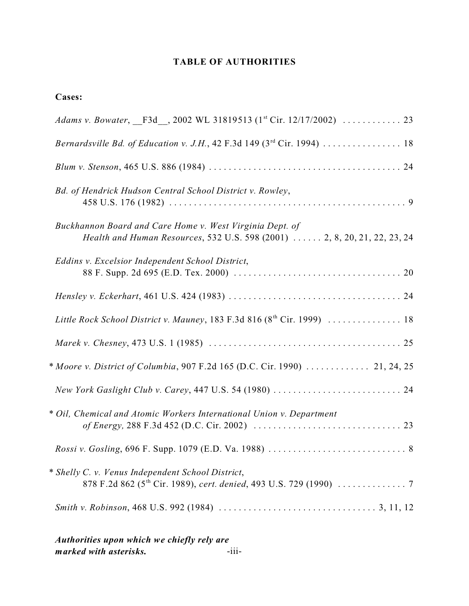### **TABLE OF AUTHORITIES**

### **Cases:**

| Bd. of Hendrick Hudson Central School District v. Rowley,                                                                             |
|---------------------------------------------------------------------------------------------------------------------------------------|
| Buckhannon Board and Care Home v. West Virginia Dept. of<br>Health and Human Resources, 532 U.S. 598 (2001)  2, 8, 20, 21, 22, 23, 24 |
| Eddins v. Excelsior Independent School District,                                                                                      |
|                                                                                                                                       |
| Little Rock School District v. Mauney, 183 F.3d 816 (8th Cir. 1999)  18                                                               |
|                                                                                                                                       |
| * Moore v. District of Columbia, 907 F.2d 165 (D.C. Cir. 1990)  21, 24, 25                                                            |
|                                                                                                                                       |
| * Oil, Chemical and Atomic Workers International Union v. Department                                                                  |
|                                                                                                                                       |
| * Shelly C. v. Venus Independent School District,                                                                                     |
|                                                                                                                                       |
|                                                                                                                                       |

*Authorities upon which we chiefly rely are*  $m$  arked with asterisks.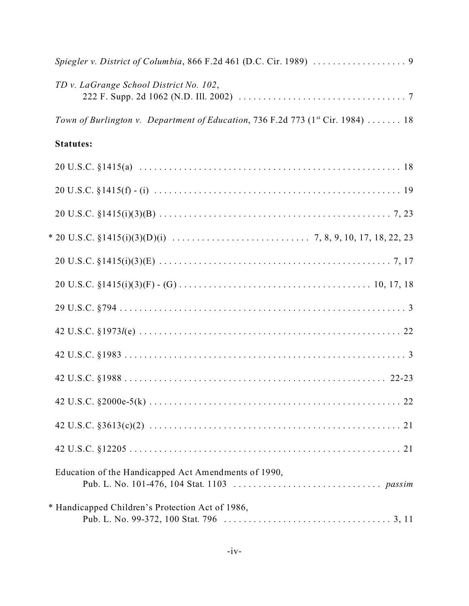| TD v. LaGrange School District No. 102,                                                     |
|---------------------------------------------------------------------------------------------|
| Town of Burlington v. Department of Education, 736 F.2d 773 (1 <sup>st</sup> Cir. 1984)  18 |
| <b>Statutes:</b>                                                                            |
|                                                                                             |
|                                                                                             |
|                                                                                             |
|                                                                                             |
|                                                                                             |
|                                                                                             |
|                                                                                             |
|                                                                                             |
|                                                                                             |
|                                                                                             |
|                                                                                             |
|                                                                                             |
|                                                                                             |
| Education of the Handicapped Act Amendments of 1990,                                        |
| * Handicapped Children's Protection Act of 1986,                                            |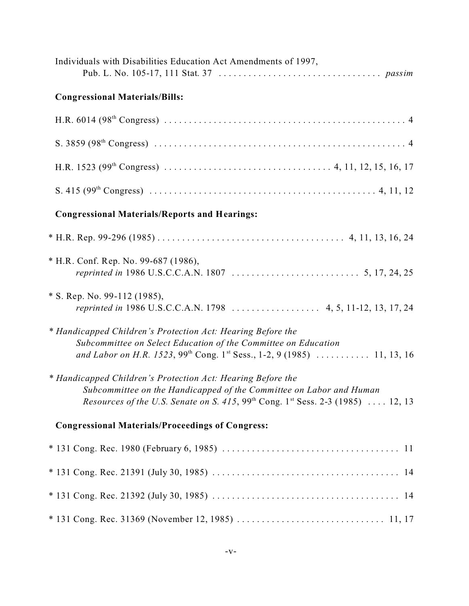| Individuals with Disabilities Education Act Amendments of 1997,                                                                                                                                                                               |  |
|-----------------------------------------------------------------------------------------------------------------------------------------------------------------------------------------------------------------------------------------------|--|
| <b>Congressional Materials/Bills:</b>                                                                                                                                                                                                         |  |
|                                                                                                                                                                                                                                               |  |
|                                                                                                                                                                                                                                               |  |
|                                                                                                                                                                                                                                               |  |
|                                                                                                                                                                                                                                               |  |
| <b>Congressional Materials/Reports and Hearings:</b>                                                                                                                                                                                          |  |
|                                                                                                                                                                                                                                               |  |
| * H.R. Conf. Rep. No. 99-687 (1986),                                                                                                                                                                                                          |  |
| * S. Rep. No. 99-112 (1985),<br>reprinted in 1986 U.S.C.C.A.N. 1798  4, 5, 11-12, 13, 17, 24                                                                                                                                                  |  |
| * Handicapped Children's Protection Act: Hearing Before the<br>Subcommittee on Select Education of the Committee on Education<br>and Labor on H.R. 1523, 99 <sup>th</sup> Cong. 1 <sup>st</sup> Sess., 1-2, 9 (1985)  11, 13, 16              |  |
| * Handicapped Children's Protection Act: Hearing Before the<br>Subcommittee on the Handicapped of the Committee on Labor and Human<br>Resources of the U.S. Senate on S. 415, 99 <sup>th</sup> Cong. 1 <sup>st</sup> Sess. 2-3 (1985)  12, 13 |  |
| <b>Congressional Materials/Proceedings of Congress:</b>                                                                                                                                                                                       |  |
|                                                                                                                                                                                                                                               |  |
|                                                                                                                                                                                                                                               |  |
|                                                                                                                                                                                                                                               |  |
|                                                                                                                                                                                                                                               |  |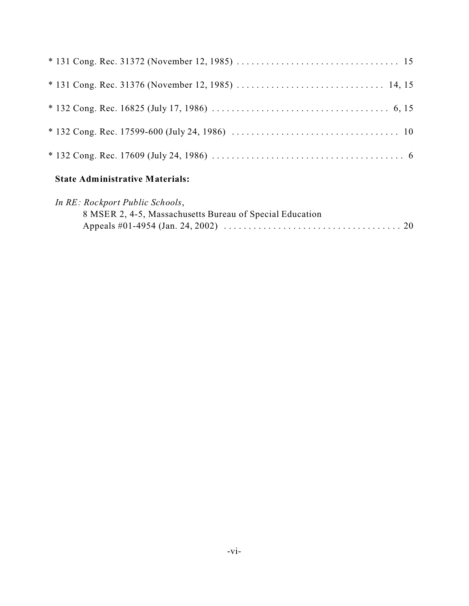#### **State Administrative Materials:**

| In RE: Rockport Public Schools,                          |  |
|----------------------------------------------------------|--|
| 8 MSER 2, 4-5, Massachusetts Bureau of Special Education |  |
|                                                          |  |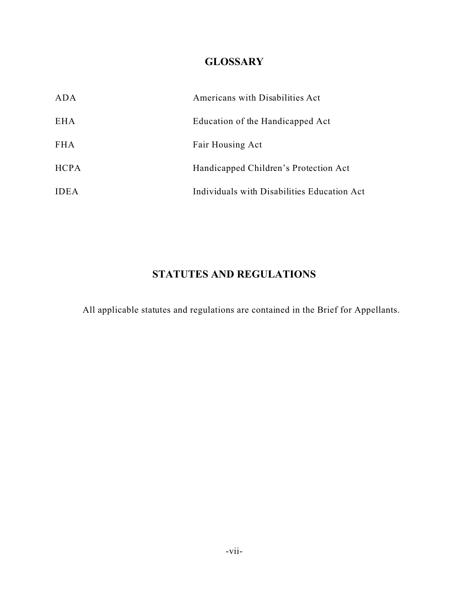# **GLOSSARY**

| ADA         | Americans with Disabilities Act             |
|-------------|---------------------------------------------|
| EH A        | Education of the Handicapped Act            |
| <b>FHA</b>  | Fair Housing Act                            |
| <b>HCPA</b> | Handicapped Children's Protection Act       |
| <b>IDEA</b> | Individuals with Disabilities Education Act |

# **STATUTES AND REGULATIONS**

All applicable statutes and regulations are contained in the Brief for Appellants.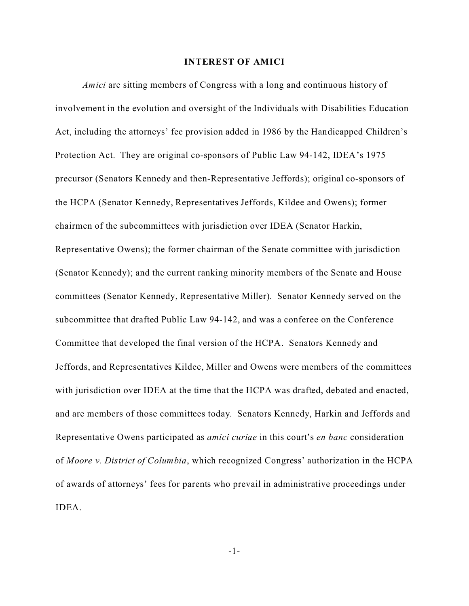#### **INTEREST OF AMICI**

*Amici* are sitting members of Congress with a long and continuous history of involvement in the evolution and oversight of the Individuals with Disabilities Education Act, including the attorneys' fee provision added in 1986 by the Handicapped Children's Protection Act. They are original co-sponsors of Public Law 94-142, IDEA's 1975 precursor (Senators Kennedy and then-Representative Jeffords); original co-sponsors of the HCPA (Senator Kennedy, Representatives Jeffords, Kildee and Owens); former chairmen of the subcommittees with jurisdiction over IDEA (Senator Harkin, Representative Owens); the former chairman of the Senate committee with jurisdiction (Senator Kennedy); and the current ranking minority members of the Senate and House committees (Senator Kennedy, Representative Miller). Senator Kennedy served on the subcommittee that drafted Public Law 94-142, and was a conferee on the Conference Committee that developed the final version of the HCPA. Senators Kennedy and Jeffords, and Representatives Kildee, Miller and Owens were members of the committees with jurisdiction over IDEA at the time that the HCPA was drafted, debated and enacted, and are members of those committees today. Senators Kennedy, Harkin and Jeffords and Representative Owens participated as *amici curiae* in this court's *en banc* consideration of *Moore v. District of Columbia*, which recognized Congress' authorization in the HCPA of awards of attorneys' fees for parents who prevail in administrative proceedings under IDEA.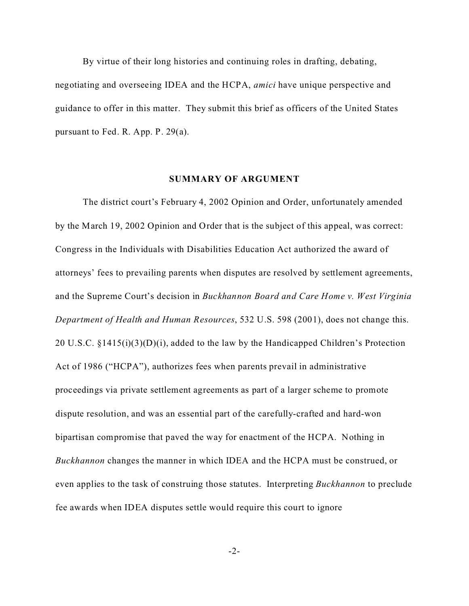By virtue of their long histories and continuing roles in drafting, debating, negotiating and overseeing IDEA and the HCPA, *amici* have unique perspective and guidance to offer in this matter. They submit this brief as officers of the United States pursuant to Fed. R. App. P. 29(a).

#### **SUMMARY OF ARGUMENT**

The district court's February 4, 2002 Opinion and Order, unfortunately amended by the March 19, 2002 Opinion and Order that is the subject of this appeal, was correct: Congress in the Individuals with Disabilities Education Act authorized the award of attorneys' fees to prevailing parents when disputes are resolved by settlement agreements, and the Supreme Court's decision in *Buckhannon Board and Care Home v. West Virginia Department of Health and Human Resources*, 532 U.S. 598 (2001), does not change this. 20 U.S.C. §1415(i)(3)(D)(i), added to the law by the Handicapped Children's Protection Act of 1986 ("HCPA"), authorizes fees when parents prevail in administrative proceedings via private settlement agreements as part of a larger scheme to promote dispute resolution, and was an essential part of the carefully-crafted and hard-won bipartisan compromise that paved the way for enactment of the HCPA. Nothing in *Buckhannon* changes the manner in which IDEA and the HCPA must be construed, or even applies to the task of construing those statutes. Interpreting *Buckhannon* to preclude fee awards when IDEA disputes settle would require this court to ignore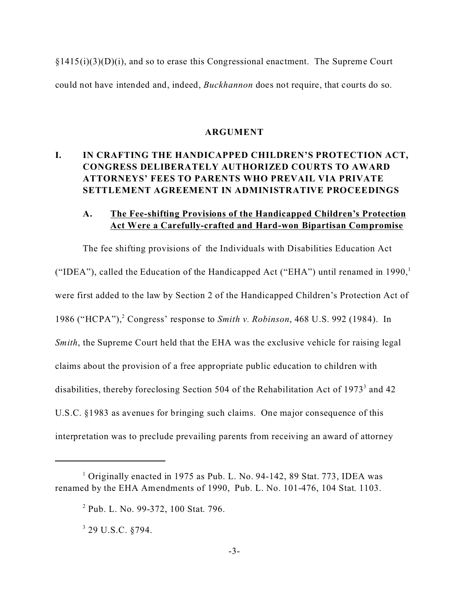$\S1415(i)(3)(D)(i)$ , and so to erase this Congressional enactment. The Supreme Court could not have intended and, indeed, *Buckhannon* does not require, that courts do so.

#### **ARGUMENT**

## **I. IN CRAFTING THE HANDICAPPED CHILDREN'S PROTECTION ACT, CONGRESS DELIBERATELY AUTHORIZED COURTS TO AWARD ATTORNEYS' FEES TO PARENTS WHO PREVAIL VIA PRIVATE SETTLEMENT AGREEMENT IN ADMINISTRATIVE PROCEEDINGS**

### **A. The Fee-shifting Provisions of the Handicapped Children's Protection Act Were a Carefully-crafted and Hard-won Bipartisan Compromise**

The fee shifting provisions of the Individuals with Disabilities Education Act ("IDEA"), called the Education of the Handicapped Act ("EHA") until renamed in  $1990$ ,<sup>1</sup> were first added to the law by Section 2 of the Handicapped Children's Protection Act of 1986 ("HCPA"),<sup>2</sup> Congress' response to *Smith v. Robinson*, 468 U.S. 992 (1984). In *Smith*, the Supreme Court held that the EHA was the exclusive vehicle for raising legal claims about the provision of a free appropriate public education to children with disabilities, thereby foreclosing Section 504 of the Rehabilitation Act of 1973<sup>3</sup> and 42 U.S.C. §1983 as avenues for bringing such claims. One major consequence of this interpretation was to preclude prevailing parents from receiving an award of attorney

<sup>&</sup>lt;sup>1</sup> Originally enacted in 1975 as Pub. L. No. 94-142, 89 Stat. 773, IDEA was renamed by the EHA Amendments of 1990, Pub. L. No. 101-476, 104 Stat. 1103.

<sup>&</sup>lt;sup>2</sup> Pub. L. No. 99-372, 100 Stat. 796.

 $3$  29 U.S.C.  $§794$ .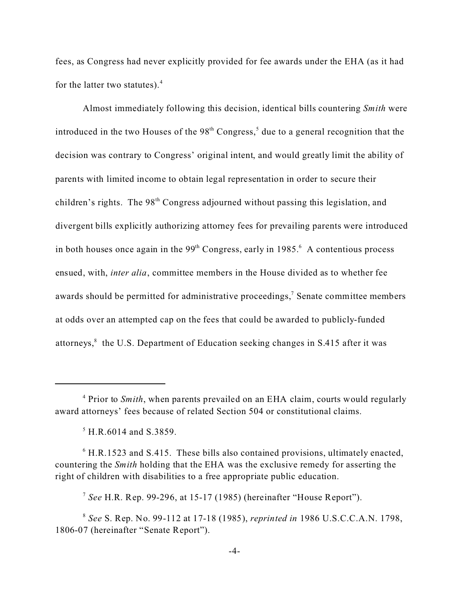fees, as Congress had never explicitly provided for fee awards under the EHA (as it had for the latter two statutes). $4$ 

Almost immediately following this decision, identical bills countering *Smith* were introduced in the two Houses of the  $98<sup>th</sup> Congress$ , due to a general recognition that the decision was contrary to Congress' original intent, and would greatly limit the ability of parents with limited income to obtain legal representation in order to secure their children's rights. The 98<sup>th</sup> Congress adjourned without passing this legislation, and divergent bills explicitly authorizing attorney fees for prevailing parents were introduced in both houses once again in the  $99<sup>th</sup>$  Congress, early in 1985. $<sup>6</sup>$  A contentious process</sup> ensued, with, *inter alia*, committee members in the House divided as to whether fee awards should be permitted for administrative proceedings,<sup>7</sup> Senate committee members at odds over an attempted cap on the fees that could be awarded to publicly-funded attorneys,<sup>8</sup> the U.S. Department of Education seeking changes in S.415 after it was

<sup>&</sup>lt;sup>4</sup> Prior to *Smith*, when parents prevailed on an EHA claim, courts would regularly award attorneys' fees because of related Section 504 or constitutional claims.

<sup>5</sup> H.R.6014 and S.3859.

 $6$  H.R.1523 and S.415. These bills also contained provisions, ultimately enacted, countering the *Smith* holding that the EHA was the exclusive remedy for asserting the right of children with disabilities to a free appropriate public education.

<sup>7</sup> *See* H.R. Rep. 99-296, at 15-17 (1985) (hereinafter "House Report").

<sup>8</sup> *See* S. Rep. No. 99-112 at 17-18 (1985), *reprinted in* 1986 U.S.C.C.A.N. 1798, 1806-07 (hereinafter "Senate Report").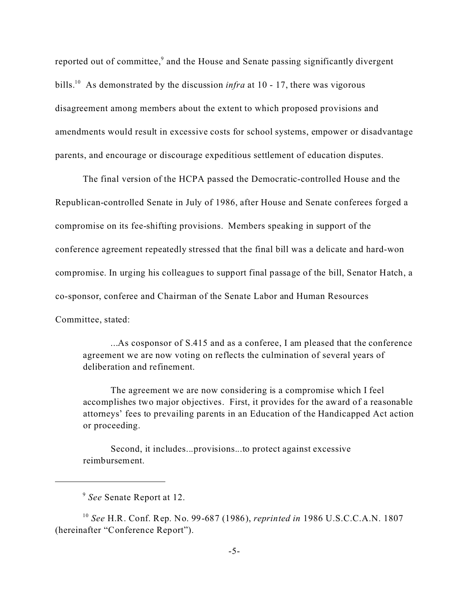reported out of committee,<sup>9</sup> and the House and Senate passing significantly divergent bills.<sup>10</sup> As demonstrated by the discussion *infra* at 10 - 17, there was vigorous disagreement among members about the extent to which proposed provisions and amendments would result in excessive costs for school systems, empower or disadvantage parents, and encourage or discourage expeditious settlement of education disputes.

The final version of the HCPA passed the Democratic-controlled House and the Republican-controlled Senate in July of 1986, after House and Senate conferees forged a compromise on its fee-shifting provisions. Members speaking in support of the conference agreement repeatedly stressed that the final bill was a delicate and hard-won compromise. In urging his colleagues to support final passage of the bill, Senator Hatch, a co-sponsor, conferee and Chairman of the Senate Labor and Human Resources Committee, stated:

...As cosponsor of S.415 and as a conferee, I am pleased that the conference agreement we are now voting on reflects the culmination of several years of deliberation and refinement.

The agreement we are now considering is a compromise which I feel accomplishes two major objectives. First, it provides for the award of a reasonable attorneys' fees to prevailing parents in an Education of the Handicapped Act action or proceeding.

Second, it includes...provisions...to protect against excessive reimbursement.

<sup>9</sup> *See* Senate Report at 12.

<sup>10</sup> *See* H.R. Conf. Rep. No. 99-687 (1986), *reprinted in* 1986 U.S.C.C.A.N. 1807 (hereinafter "Conference Report").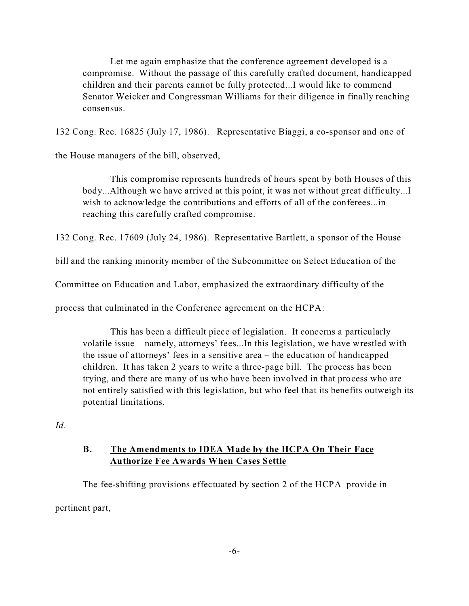Let me again emphasize that the conference agreement developed is a compromise. Without the passage of this carefully crafted document, handicapped children and their parents cannot be fully protected...I would like to commend Senator Weicker and Congressman Williams for their diligence in finally reaching consensus.

132 Cong. Rec. 16825 (July 17, 1986). Representative Biaggi, a co-sponsor and one of

the House managers of the bill, observed,

This compromise represents hundreds of hours spent by both Houses of this body...Although we have arrived at this point, it was not without great difficulty...I wish to acknowledge the contributions and efforts of all of the conferees...in reaching this carefully crafted compromise.

132 Cong. Rec. 17609 (July 24, 1986). Representative Bartlett, a sponsor of the House

bill and the ranking minority member of the Subcommittee on Select Education of the

Committee on Education and Labor, emphasized the extraordinary difficulty of the

process that culminated in the Conference agreement on the HCPA:

This has been a difficult piece of legislation. It concerns a particularly volatile issue – namely, attorneys' fees...In this legislation, we have wrestled with the issue of attorneys' fees in a sensitive area – the education of handicapped children. It has taken 2 years to write a three-page bill. The process has been trying, and there are many of us who have been involved in that process who are not entirely satisfied with this legislation, but who feel that its benefits outweigh its potential limitations.

*Id*.

### **B. The Amendments to IDEA Made by the HCPA On Their Face Authorize Fee Awards When Cases Settle**

The fee-shifting provisions effectuated by section 2 of the HCPA provide in pertinent part,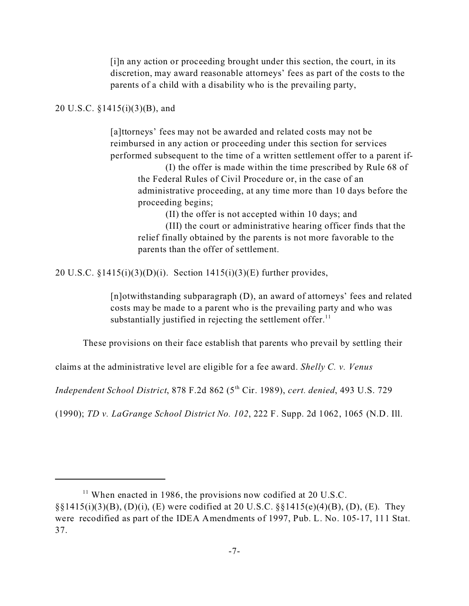[i]n any action or proceeding brought under this section, the court, in its discretion, may award reasonable attorneys' fees as part of the costs to the parents of a child with a disability who is the prevailing party,

#### 20 U.S.C. §1415(i)(3)(B), and

[a]ttorneys' fees may not be awarded and related costs may not be reimbursed in any action or proceeding under this section for services performed subsequent to the time of a written settlement offer to a parent if-

(I) the offer is made within the time prescribed by Rule 68 of the Federal Rules of Civil Procedure or, in the case of an administrative proceeding, at any time more than 10 days before the proceeding begins;

(II) the offer is not accepted within 10 days; and

(III) the court or administrative hearing officer finds that the relief finally obtained by the parents is not more favorable to the parents than the offer of settlement.

20 U.S.C.  $\S 1415(i)(3)(D)(i)$ . Section  $1415(i)(3)(E)$  further provides,

[n]otwithstanding subparagraph (D), an award of attorneys' fees and related costs may be made to a parent who is the prevailing party and who was substantially justified in rejecting the settlement offer. $<sup>11</sup>$ </sup>

These provisions on their face establish that parents who prevail by settling their

claims at the administrative level are eligible for a fee award. *Shelly C. v. Venus*

*Independent School District*, 878 F.2d 862 (5th Cir. 1989), *cert. denied*, 493 U.S. 729

(1990); *TD v. LaGrange School District No. 102*, 222 F. Supp. 2d 1062, 1065 (N.D. Ill.

 $11$  When enacted in 1986, the provisions now codified at 20 U.S.C.  $\S(1415(i)(3)(B), (D)(i), (E)$  were codified at 20 U.S.C.  $\S(1415(e)(4)(B), (D), (E)$ . They were recodified as part of the IDEA Amendments of 1997, Pub. L. No. 105-17, 111 Stat. 37.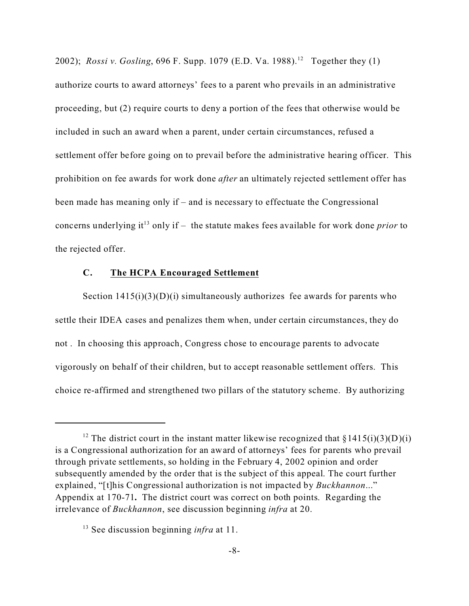2002); *Rossi v. Gosling*, 696 F. Supp. 1079 (E.D. Va. 1988).<sup>12</sup> Together they (1) authorize courts to award attorneys' fees to a parent who prevails in an administrative proceeding, but (2) require courts to deny a portion of the fees that otherwise would be included in such an award when a parent, under certain circumstances, refused a settlement offer before going on to prevail before the administrative hearing officer. This prohibition on fee awards for work done *after* an ultimately rejected settlement offer has been made has meaning only if – and is necessary to effectuate the Congressional concerns underlying it<sup>13</sup> only if – the statute makes fees available for work done *prior* to the rejected offer.

#### **C. The HCPA Encouraged Settlement**

Section  $1415(i)(3)(D)(i)$  simultaneously authorizes fee awards for parents who settle their IDEA cases and penalizes them when, under certain circumstances, they do not . In choosing this approach, Congress chose to encourage parents to advocate vigorously on behalf of their children, but to accept reasonable settlement offers. This choice re-affirmed and strengthened two pillars of the statutory scheme. By authorizing

<sup>&</sup>lt;sup>12</sup> The district court in the instant matter likewise recognized that  $\S 1415(i)(3)(D)(i)$ is a Congressional authorization for an award of attorneys' fees for parents who prevail through private settlements, so holding in the February 4, 2002 opinion and order subsequently amended by the order that is the subject of this appeal. The court further explained, "[t]his Congressional authorization is not impacted by *Buckhannon*..." Appendix at 170-71**.** The district court was correct on both points. Regarding the irrelevance of *Buckhannon*, see discussion beginning *infra* at 20.

<sup>13</sup> See discussion beginning *infra* at 11.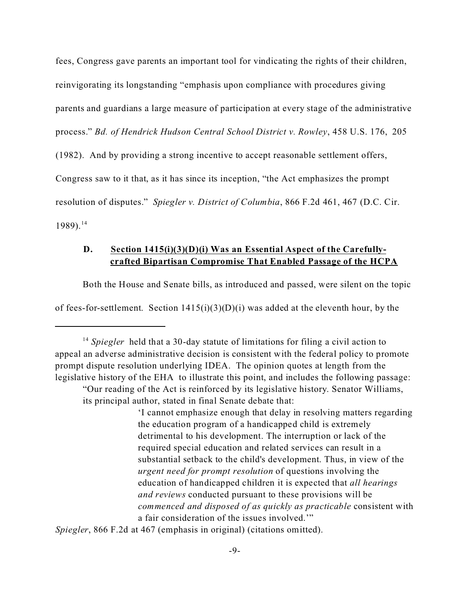fees, Congress gave parents an important tool for vindicating the rights of their children, reinvigorating its longstanding "emphasis upon compliance with procedures giving parents and guardians a large measure of participation at every stage of the administrative process." *Bd. of Hendrick Hudson Central School District v. Rowley*, 458 U.S. 176, 205 (1982). And by providing a strong incentive to accept reasonable settlement offers, Congress saw to it that, as it has since its inception, "the Act emphasizes the prompt resolution of disputes." *Spiegler v. District of Columbia*, 866 F.2d 461, 467 (D.C. Cir.  $1989$ ).<sup>14</sup>

### **D. Section 1415(i)(3)(D)(i) Was an Essential Aspect of the Carefullycrafted Bipartisan Compromise That Enabled Passage of the HCPA**

Both the House and Senate bills, as introduced and passed, were silent on the topic

of fees-for-settlement. Section  $1415(i)(3)(D)(i)$  was added at the eleventh hour, by the

*Spiegler*, 866 F.2d at 467 (emphasis in original) (citations omitted).

<sup>&</sup>lt;sup>14</sup> *Spiegler* held that a 30-day statute of limitations for filing a civil action to appeal an adverse administrative decision is consistent with the federal policy to promote prompt dispute resolution underlying IDEA. The opinion quotes at length from the legislative history of the EHA to illustrate this point, and includes the following passage: "Our reading of the Act is reinforced by its legislative history. Senator Williams,

its principal author, stated in final Senate debate that:

<sup>&#</sup>x27;I cannot emphasize enough that delay in resolving matters regarding the education program of a handicapped child is extremely detrimental to his development. The interruption or lack of the required special education and related services can result in a substantial setback to the child's development. Thus, in view of the *urgent need for prompt resolution* of questions involving the education of handicapped children it is expected that *all hearings and reviews* conducted pursuant to these provisions will be *commenced and disposed of as quickly as practicable* consistent with a fair consideration of the issues involved.'"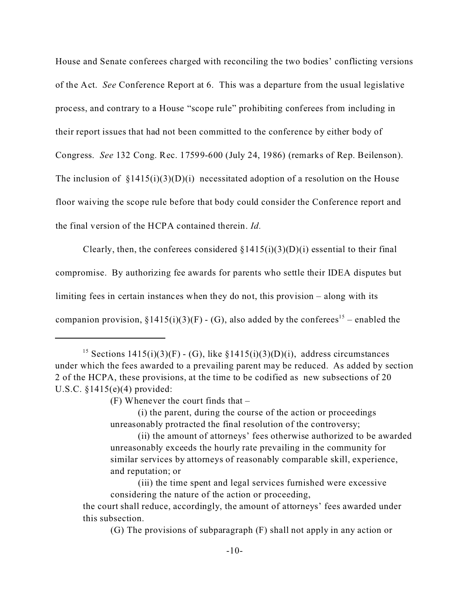House and Senate conferees charged with reconciling the two bodies' conflicting versions of the Act. *See* Conference Report at 6. This was a departure from the usual legislative process, and contrary to a House "scope rule" prohibiting conferees from including in their report issues that had not been committed to the conference by either body of Congress. *See* 132 Cong. Rec. 17599-600 (July 24, 1986) (remarks of Rep. Beilenson). The inclusion of  $\S 1415(i)(3)(D)(i)$  necessitated adoption of a resolution on the House floor waiving the scope rule before that body could consider the Conference report and the final version of the HCPA contained therein. *Id.*

Clearly, then, the conferees considered  $\S 1415(i)(3)(D)(i)$  essential to their final compromise. By authorizing fee awards for parents who settle their IDEA disputes but limiting fees in certain instances when they do not, this provision – along with its companion provision,  $\S 1415(i)(3)(F) - (G)$ , also added by the conferees<sup>15</sup> – enabled the

 $(F)$  Whenever the court finds that  $-$ 

(i) the parent, during the course of the action or proceedings unreasonably protracted the final resolution of the controversy;

(ii) the amount of attorneys' fees otherwise authorized to be awarded unreasonably exceeds the hourly rate prevailing in the community for similar services by attorneys of reasonably comparable skill, experience, and reputation; or

(G) The provisions of subparagraph (F) shall not apply in any action or

<sup>&</sup>lt;sup>15</sup> Sections 1415(i)(3)(F) - (G), like §1415(i)(3)(D)(i), address circumstances under which the fees awarded to a prevailing parent may be reduced. As added by section 2 of the HCPA, these provisions, at the time to be codified as new subsections of 20 U.S.C. §1415(e)(4) provided:

<sup>(</sup>iii) the time spent and legal services furnished were excessive considering the nature of the action or proceeding,

the court shall reduce, accordingly, the amount of attorneys' fees awarded under this subsection.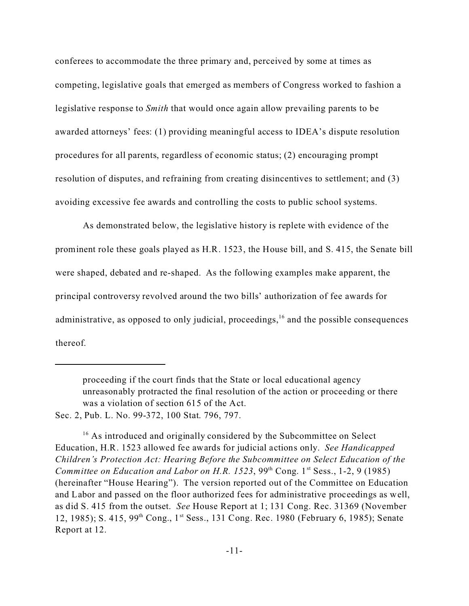conferees to accommodate the three primary and, perceived by some at times as competing, legislative goals that emerged as members of Congress worked to fashion a legislative response to *Smith* that would once again allow prevailing parents to be awarded attorneys' fees: (1) providing meaningful access to IDEA's dispute resolution procedures for all parents, regardless of economic status; (2) encouraging prompt resolution of disputes, and refraining from creating disincentives to settlement; and (3) avoiding excessive fee awards and controlling the costs to public school systems.

As demonstrated below, the legislative history is replete with evidence of the prominent role these goals played as H.R. 1523, the House bill, and S. 415, the Senate bill were shaped, debated and re-shaped. As the following examples make apparent, the principal controversy revolved around the two bills' authorization of fee awards for administrative, as opposed to only judicial, proceedings,  $16$  and the possible consequences thereof.

proceeding if the court finds that the State or local educational agency unreasonably protracted the final resolution of the action or proceeding or there was a violation of section 615 of the Act.

Sec. 2, Pub. L. No. 99-372, 100 Stat. 796, 797.

<sup>&</sup>lt;sup>16</sup> As introduced and originally considered by the Subcommittee on Select Education, H.R. 1523 allowed fee awards for judicial actions only. *See Handicapped Children's Protection Act: Hearing Before the Subcommittee on Select Education of the Committee on Education and Labor on H.R. 1523*,  $99<sup>th</sup>$  Cong. 1<sup>st</sup> Sess., 1-2, 9 (1985) (hereinafter "House Hearing"). The version reported out of the Committee on Education and Labor and passed on the floor authorized fees for administrative proceedings as well, as did S. 415 from the outset. *See* House Report at 1; 131 Cong. Rec. 31369 (November 12, 1985); S. 415, 99th Cong., 1st Sess., 131 Cong. Rec. 1980 (February 6, 1985); Senate Report at 12.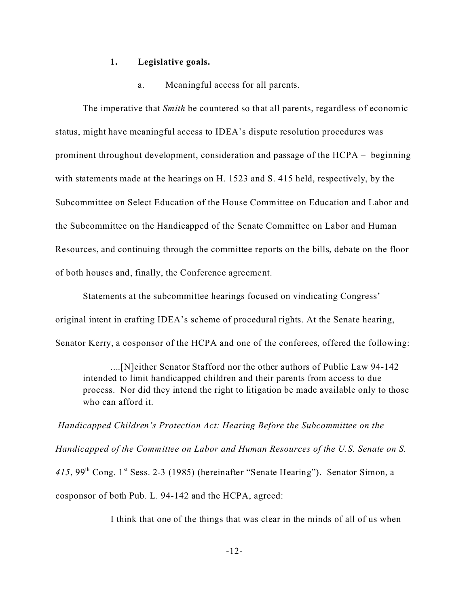#### **1. Legislative goals.**

a. Meaningful access for all parents.

The imperative that *Smith* be countered so that all parents, regardless of economic status, might have meaningful access to IDEA's dispute resolution procedures was prominent throughout development, consideration and passage of the HCPA – beginning with statements made at the hearings on H. 1523 and S. 415 held, respectively, by the Subcommittee on Select Education of the House Committee on Education and Labor and the Subcommittee on the Handicapped of the Senate Committee on Labor and Human Resources, and continuing through the committee reports on the bills, debate on the floor of both houses and, finally, the Conference agreement.

Statements at the subcommittee hearings focused on vindicating Congress' original intent in crafting IDEA's scheme of procedural rights. At the Senate hearing, Senator Kerry, a cosponsor of the HCPA and one of the conferees, offered the following:

....[N]either Senator Stafford nor the other authors of Public Law 94-142 intended to limit handicapped children and their parents from access to due process. Nor did they intend the right to litigation be made available only to those who can afford it.

*Handicapped Children's Protection Act: Hearing Before the Subcommittee on the Handicapped of the Committee on Labor and Human Resources of the U.S. Senate on S.* 415, 99<sup>th</sup> Cong. 1<sup>st</sup> Sess. 2-3 (1985) (hereinafter "Senate Hearing"). Senator Simon, a cosponsor of both Pub. L. 94-142 and the HCPA, agreed:

I think that one of the things that was clear in the minds of all of us when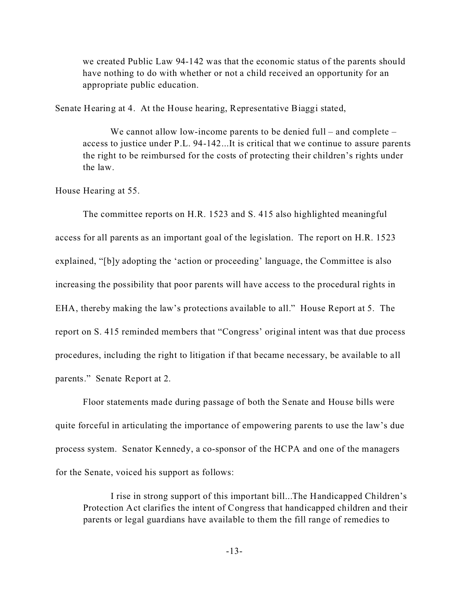we created Public Law 94-142 was that the economic status of the parents should have nothing to do with whether or not a child received an opportunity for an appropriate public education.

Senate Hearing at 4. At the House hearing, Representative Biaggi stated,

We cannot allow low-income parents to be denied full – and complete – access to justice under P.L. 94-142...It is critical that we continue to assure parents the right to be reimbursed for the costs of protecting their children's rights under the law.

House Hearing at 55.

The committee reports on H.R. 1523 and S. 415 also highlighted meaningful access for all parents as an important goal of the legislation. The report on H.R. 1523 explained, "[b]y adopting the 'action or proceeding' language, the Committee is also increasing the possibility that poor parents will have access to the procedural rights in EHA, thereby making the law's protections available to all." House Report at 5. The report on S. 415 reminded members that "Congress' original intent was that due process procedures, including the right to litigation if that became necessary, be available to all parents." Senate Report at 2.

Floor statements made during passage of both the Senate and House bills were quite forceful in articulating the importance of empowering parents to use the law's due process system. Senator Kennedy, a co-sponsor of the HCPA and one of the managers for the Senate, voiced his support as follows:

I rise in strong support of this important bill...The Handicapped Children's Protection Act clarifies the intent of Congress that handicapped children and their parents or legal guardians have available to them the fill range of remedies to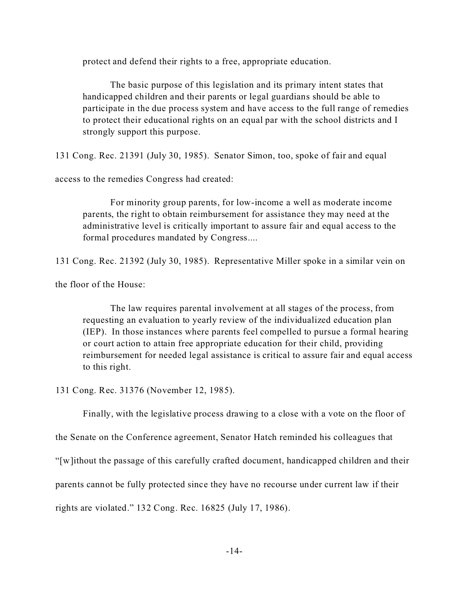protect and defend their rights to a free, appropriate education.

The basic purpose of this legislation and its primary intent states that handicapped children and their parents or legal guardians should be able to participate in the due process system and have access to the full range of remedies to protect their educational rights on an equal par with the school districts and I strongly support this purpose.

131 Cong. Rec. 21391 (July 30, 1985). Senator Simon, too, spoke of fair and equal

access to the remedies Congress had created:

For minority group parents, for low-income a well as moderate income parents, the right to obtain reimbursement for assistance they may need at the administrative level is critically important to assure fair and equal access to the formal procedures mandated by Congress....

131 Cong. Rec. 21392 (July 30, 1985). Representative Miller spoke in a similar vein on

the floor of the House:

The law requires parental involvement at all stages of the process, from requesting an evaluation to yearly review of the individualized education plan (IEP). In those instances where parents feel compelled to pursue a formal hearing or court action to attain free appropriate education for their child, providing reimbursement for needed legal assistance is critical to assure fair and equal access to this right.

131 Cong. Rec. 31376 (November 12, 1985).

Finally, with the legislative process drawing to a close with a vote on the floor of

the Senate on the Conference agreement, Senator Hatch reminded his colleagues that

"[w]ithout the passage of this carefully crafted document, handicapped children and their

parents cannot be fully protected since they have no recourse under current law if their

rights are violated." 132 Cong. Rec. 16825 (July 17, 1986).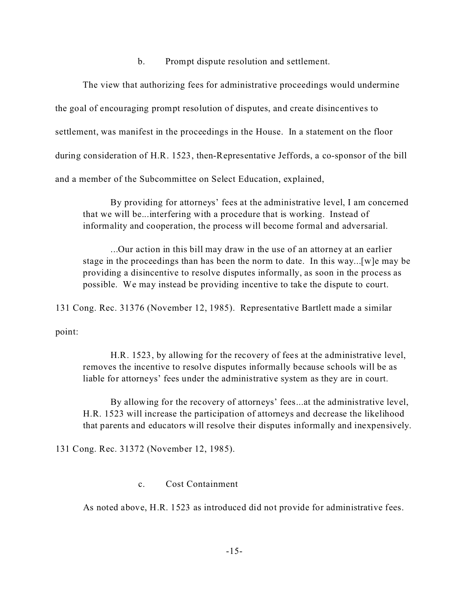b. Prompt dispute resolution and settlement.

The view that authorizing fees for administrative proceedings would undermine the goal of encouraging prompt resolution of disputes, and create disincentives to settlement, was manifest in the proceedings in the House. In a statement on the floor during consideration of H.R. 1523, then-Representative Jeffords, a co-sponsor of the bill and a member of the Subcommittee on Select Education, explained,

By providing for attorneys' fees at the administrative level, I am concerned that we will be...interfering with a procedure that is working. Instead of informality and cooperation, the process will become formal and adversarial.

...Our action in this bill may draw in the use of an attorney at an earlier stage in the proceedings than has been the norm to date. In this way...[w]e may be providing a disincentive to resolve disputes informally, as soon in the process as possible. We may instead be providing incentive to take the dispute to court.

131 Cong. Rec. 31376 (November 12, 1985). Representative Bartlett made a similar

point:

H.R. 1523, by allowing for the recovery of fees at the administrative level, removes the incentive to resolve disputes informally because schools will be as liable for attorneys' fees under the administrative system as they are in court.

By allowing for the recovery of attorneys' fees...at the administrative level, H.R. 1523 will increase the participation of attorneys and decrease the likelihood that parents and educators will resolve their disputes informally and inexpensively.

131 Cong. Rec. 31372 (November 12, 1985).

c. Cost Containment

As noted above, H.R. 1523 as introduced did not provide for administrative fees.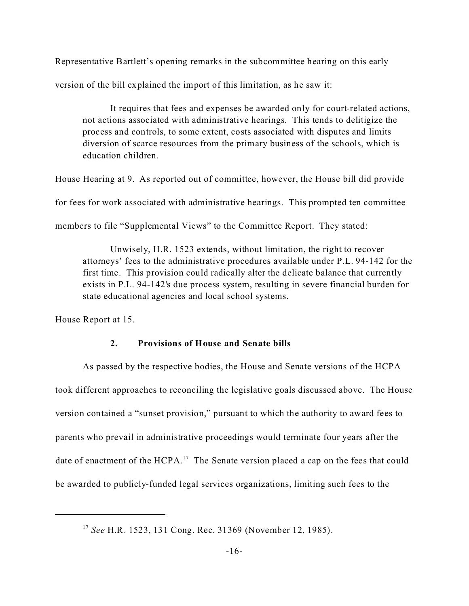Representative Bartlett's opening remarks in the subcommittee hearing on this early version of the bill explained the import of this limitation, as he saw it:

It requires that fees and expenses be awarded only for court-related actions, not actions associated with administrative hearings. This tends to delitigize the process and controls, to some extent, costs associated with disputes and limits diversion of scarce resources from the primary business of the schools, which is education children.

House Hearing at 9. As reported out of committee, however, the House bill did provide

for fees for work associated with administrative hearings. This prompted ten committee

members to file "Supplemental Views" to the Committee Report. They stated:

Unwisely, H.R. 1523 extends, without limitation, the right to recover attorneys' fees to the administrative procedures available under P.L. 94-142 for the first time. This provision could radically alter the delicate balance that currently exists in P.L. 94-142's due process system, resulting in severe financial burden for state educational agencies and local school systems.

House Report at 15.

#### **2. Provisions of House and Senate bills**

As passed by the respective bodies, the House and Senate versions of the HCPA took different approaches to reconciling the legislative goals discussed above. The House version contained a "sunset provision," pursuant to which the authority to award fees to parents who prevail in administrative proceedings would terminate four years after the date of enactment of the HCPA.<sup>17</sup> The Senate version placed a cap on the fees that could be awarded to publicly-funded legal services organizations, limiting such fees to the

<sup>17</sup> *See* H.R. 1523, 131 Cong. Rec. 31369 (November 12, 1985).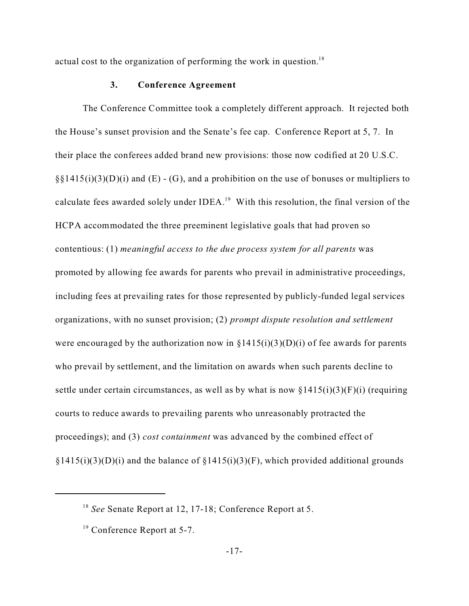actual cost to the organization of performing the work in question.<sup>18</sup>

#### **3. Conference Agreement**

The Conference Committee took a completely different approach. It rejected both the House's sunset provision and the Senate's fee cap. Conference Report at 5, 7. In their place the conferees added brand new provisions: those now codified at 20 U.S.C.  $\S\S1415(i)(3)(D)(i)$  and (E) - (G), and a prohibition on the use of bonuses or multipliers to calculate fees awarded solely under IDEA.<sup>19</sup> With this resolution, the final version of the HCPA accommodated the three preeminent legislative goals that had proven so contentious: (1) *meaningful access to the due process system for all parents* was promoted by allowing fee awards for parents who prevail in administrative proceedings, including fees at prevailing rates for those represented by publicly-funded legal services organizations, with no sunset provision; (2) *prompt dispute resolution and settlement* were encouraged by the authorization now in  $\S 1415(i)(3)(D)(i)$  of fee awards for parents who prevail by settlement, and the limitation on awards when such parents decline to settle under certain circumstances, as well as by what is now  $\S 1415(i)(3)(F)(i)$  (requiring courts to reduce awards to prevailing parents who unreasonably protracted the proceedings); and (3) *cost containment* was advanced by the combined effect of  $\S1415(i)(3)(D)(i)$  and the balance of  $\S1415(i)(3)(F)$ , which provided additional grounds

<sup>18</sup> *See* Senate Report at 12, 17-18; Conference Report at 5.

<sup>&</sup>lt;sup>19</sup> Conference Report at 5-7.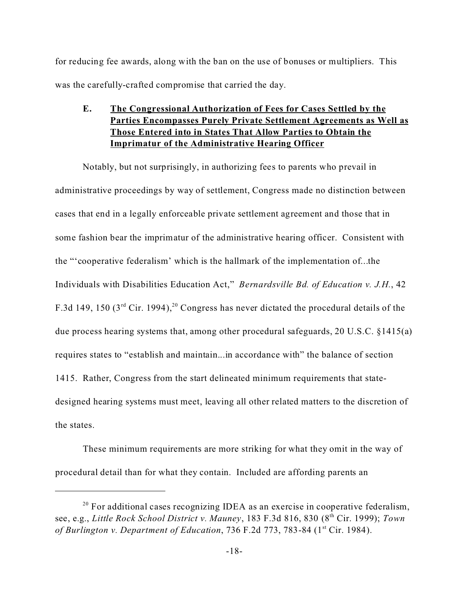for reducing fee awards, along with the ban on the use of bonuses or multipliers. This was the carefully-crafted compromise that carried the day.

**E. The Congressional Authorization of Fees for Cases Settled by the Parties Encompasses Purely Private Settlement Agreements as Well as Those Entered into in States That Allow Parties to Obtain the Imprimatur of the Administrative Hearing Officer**

Notably, but not surprisingly, in authorizing fees to parents who prevail in administrative proceedings by way of settlement, Congress made no distinction between cases that end in a legally enforceable private settlement agreement and those that in some fashion bear the imprimatur of the administrative hearing officer. Consistent with the "'cooperative federalism' which is the hallmark of the implementation of...the Individuals with Disabilities Education Act," *Bernardsville Bd. of Education v. J.H.*, 42 F.3d 149, 150 ( $3<sup>rd</sup>$  Cir. 1994),<sup>20</sup> Congress has never dictated the procedural details of the due process hearing systems that, among other procedural safeguards, 20 U.S.C. §1415(a) requires states to "establish and maintain...in accordance with" the balance of section 1415. Rather, Congress from the start delineated minimum requirements that statedesigned hearing systems must meet, leaving all other related matters to the discretion of the states.

These minimum requirements are more striking for what they omit in the way of procedural detail than for what they contain. Included are affording parents an

 $20$  For additional cases recognizing IDEA as an exercise in cooperative federalism, see, e.g., *Little Rock School District v. Mauney*, 183 F.3d 816, 830 (8th Cir. 1999); *Town of Burlington v. Department of Education*, 736 F.2d 773, 783-84 (1<sup>st</sup> Cir. 1984).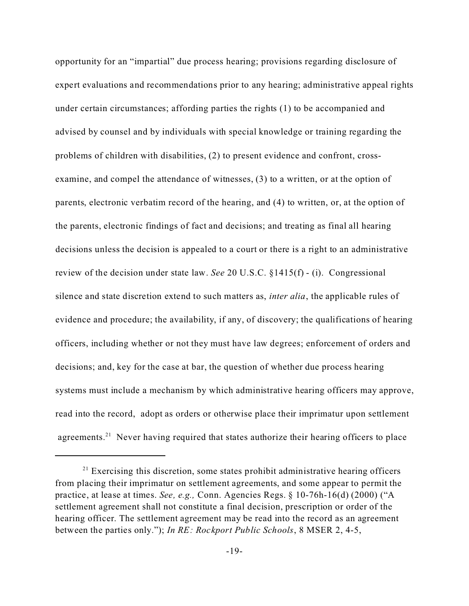opportunity for an "impartial" due process hearing; provisions regarding disclosure of expert evaluations and recommendations prior to any hearing; administrative appeal rights under certain circumstances; affording parties the rights (1) to be accompanied and advised by counsel and by individuals with special knowledge or training regarding the problems of children with disabilities, (2) to present evidence and confront, crossexamine, and compel the attendance of witnesses, (3) to a written, or at the option of parents, electronic verbatim record of the hearing, and (4) to written, or, at the option of the parents, electronic findings of fact and decisions; and treating as final all hearing decisions unless the decision is appealed to a court or there is a right to an administrative review of the decision under state law. *See* 20 U.S.C. §1415(f) - (i). Congressional silence and state discretion extend to such matters as, *inter alia*, the applicable rules of evidence and procedure; the availability, if any, of discovery; the qualifications of hearing officers, including whether or not they must have law degrees; enforcement of orders and decisions; and, key for the case at bar, the question of whether due process hearing systems must include a mechanism by which administrative hearing officers may approve, read into the record, adopt as orders or otherwise place their imprimatur upon settlement agreements.<sup>21</sup> Never having required that states authorize their hearing officers to place

 $21$  Exercising this discretion, some states prohibit administrative hearing officers from placing their imprimatur on settlement agreements, and some appear to permit the practice, at lease at times. *See, e.g.,* Conn. Agencies Regs. § 10-76h-16(d) (2000) ("A settlement agreement shall not constitute a final decision, prescription or order of the hearing officer. The settlement agreement may be read into the record as an agreement between the parties only."); *In RE: Rockport Public Schools*, 8 MSER 2, 4-5,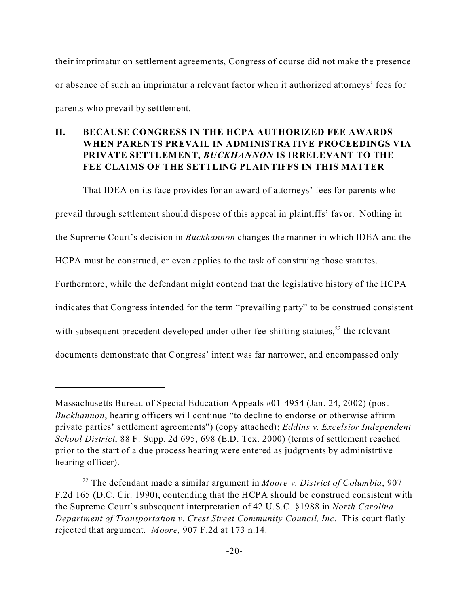their imprimatur on settlement agreements, Congress of course did not make the presence or absence of such an imprimatur a relevant factor when it authorized attorneys' fees for parents who prevail by settlement.

### **II. BECAUSE CONGRESS IN THE HCPA AUTHORIZED FEE AWARDS WHEN PARENTS PREVAIL IN ADMINISTRATIVE PROCEEDINGS VIA PRIVATE SETTLEMENT,** *BUCKHANNON* **IS IRRELEVANT TO THE FEE CLAIMS OF THE SETTLING PLAINTIFFS IN THIS MATTER**

That IDEA on its face provides for an award of attorneys' fees for parents who prevail through settlement should dispose of this appeal in plaintiffs' favor. Nothing in the Supreme Court's decision in *Buckhannon* changes the manner in which IDEA and the HCPA must be construed, or even applies to the task of construing those statutes. Furthermore, while the defendant might contend that the legislative history of the HCPA indicates that Congress intended for the term "prevailing party" to be construed consistent with subsequent precedent developed under other fee-shifting statutes, $^{22}$  the relevant documents demonstrate that Congress' intent was far narrower, and encompassed only

Massachusetts Bureau of Special Education Appeals #01-4954 (Jan. 24, 2002) (post-*Buckhannon*, hearing officers will continue "to decline to endorse or otherwise affirm private parties' settlement agreements") (copy attached); *Eddins v. Excelsior Independent School District*, 88 F. Supp. 2d 695, 698 (E.D. Tex. 2000) (terms of settlement reached prior to the start of a due process hearing were entered as judgments by administrtive hearing officer).

<sup>22</sup> The defendant made a similar argument in *Moore v. District of Columbia*, 907 F.2d 165 (D.C. Cir. 1990), contending that the HCPA should be construed consistent with the Supreme Court's subsequent interpretation of 42 U.S.C. §1988 in *North Carolina Department of Transportation v. Crest Street Community Council, Inc.* This court flatly rejected that argument. *Moore,* 907 F.2d at 173 n.14.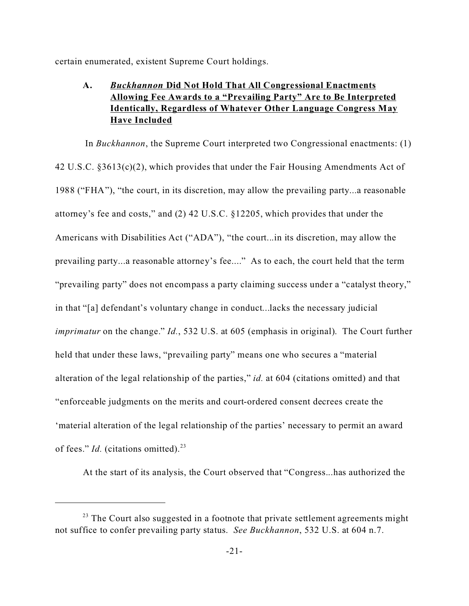certain enumerated, existent Supreme Court holdings.

### **A.** *Buckhannon* **Did Not Hold That All Congressional Enactments Allowing Fee Awards to a "Prevailing Party" Are to Be Interpreted Identically, Regardless of Whatever Other Language Congress May Have Included**

 In *Buckhannon*, the Supreme Court interpreted two Congressional enactments: (1) 42 U.S.C. §3613(c)(2), which provides that under the Fair Housing Amendments Act of 1988 ("FHA"), "the court, in its discretion, may allow the prevailing party...a reasonable attorney's fee and costs," and (2) 42 U.S.C. §12205, which provides that under the Americans with Disabilities Act ("ADA"), "the court...in its discretion, may allow the prevailing party...a reasonable attorney's fee...." As to each, the court held that the term "prevailing party" does not encompass a party claiming success under a "catalyst theory," in that "[a] defendant's voluntary change in conduct...lacks the necessary judicial *imprimatur* on the change." *Id.*, 532 U.S. at 605 (emphasis in original). The Court further held that under these laws, "prevailing party" means one who secures a "material alteration of the legal relationship of the parties," *id.* at 604 (citations omitted) and that "enforceable judgments on the merits and court-ordered consent decrees create the 'material alteration of the legal relationship of the parties' necessary to permit an award of fees." *Id.* (citations omitted).<sup>23</sup>

At the start of its analysis, the Court observed that "Congress...has authorized the

 $23$  The Court also suggested in a footnote that private settlement agreements might not suffice to confer prevailing party status. *See Buckhannon*, 532 U.S. at 604 n.7.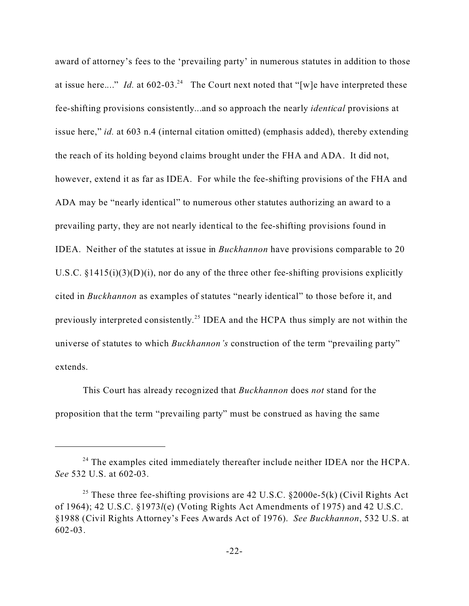award of attorney's fees to the 'prevailing party' in numerous statutes in addition to those at issue here...." *Id.* at  $602-03<sup>24</sup>$  The Court next noted that "[w]e have interpreted these fee-shifting provisions consistently...and so approach the nearly *identical* provisions at issue here," *id.* at 603 n.4 (internal citation omitted) (emphasis added), thereby extending the reach of its holding beyond claims brought under the FHA and ADA. It did not, however, extend it as far as IDEA. For while the fee-shifting provisions of the FHA and ADA may be "nearly identical" to numerous other statutes authorizing an award to a prevailing party, they are not nearly identical to the fee-shifting provisions found in IDEA. Neither of the statutes at issue in *Buckhannon* have provisions comparable to 20 U.S.C.  $\S1415(i)(3)(D)(i)$ , nor do any of the three other fee-shifting provisions explicitly cited in *Buckhannon* as examples of statutes "nearly identical" to those before it, and previously interpreted consistently.<sup>25</sup> IDEA and the HCPA thus simply are not within the universe of statutes to which *Buckhannon's* construction of the term "prevailing party" extends.

This Court has already recognized that *Buckhannon* does *not* stand for the proposition that the term "prevailing party" must be construed as having the same

<sup>&</sup>lt;sup>24</sup> The examples cited immediately thereafter include neither IDEA nor the HCPA. *See* 532 U.S. at 602-03.

<sup>&</sup>lt;sup>25</sup> These three fee-shifting provisions are 42 U.S.C. §2000e-5(k) (Civil Rights Act of 1964); 42 U.S.C. §1973*l*(e) (Voting Rights Act Amendments of 1975) and 42 U.S.C. §1988 (Civil Rights Attorney's Fees Awards Act of 1976). *See Buckhannon*, 532 U.S. at 602-03.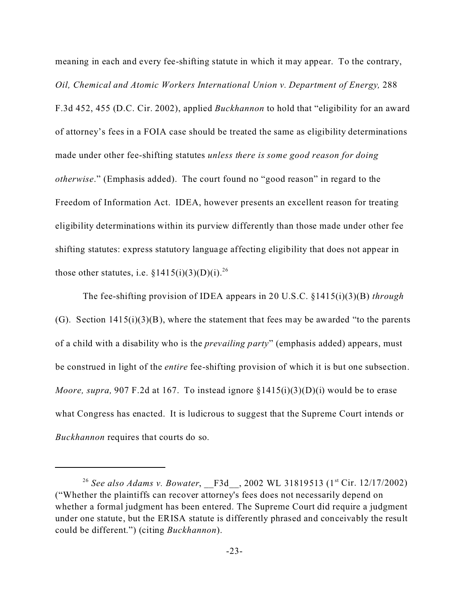meaning in each and every fee-shifting statute in which it may appear. To the contrary, *Oil, Chemical and Atomic Workers International Union v. Department of Energy,* 288 F.3d 452, 455 (D.C. Cir. 2002), applied *Buckhannon* to hold that "eligibility for an award of attorney's fees in a FOIA case should be treated the same as eligibility determinations made under other fee-shifting statutes *unless there is some good reason for doing otherwise*." (Emphasis added). The court found no "good reason" in regard to the Freedom of Information Act. IDEA, however presents an excellent reason for treating eligibility determinations within its purview differently than those made under other fee shifting statutes: express statutory language affecting eligibility that does not appear in those other statutes, i.e.  $\S 1415(i)(3)(D)(i).^{26}$ 

The fee-shifting provision of IDEA appears in 20 U.S.C. §1415(i)(3)(B) *through* (G). Section  $1415(i)(3)(B)$ , where the statement that fees may be awarded "to the parents" of a child with a disability who is the *prevailing party*" (emphasis added) appears, must be construed in light of the *entire* fee-shifting provision of which it is but one subsection. *Moore, supra,* 907 F.2d at 167. To instead ignore §1415(i)(3)(D)(i) would be to erase what Congress has enacted. It is ludicrous to suggest that the Supreme Court intends or *Buckhannon* requires that courts do so.

<sup>&</sup>lt;sup>26</sup> See also Adams v. Bowater, F3d , 2002 WL 31819513 (1<sup>st</sup> Cir. 12/17/2002) ("Whether the plaintiffs can recover attorney's fees does not necessarily depend on whether a formal judgment has been entered. The Supreme Court did require a judgment under one statute, but the ERISA statute is differently phrased and conceivably the result could be different.") (citing *Buckhannon*).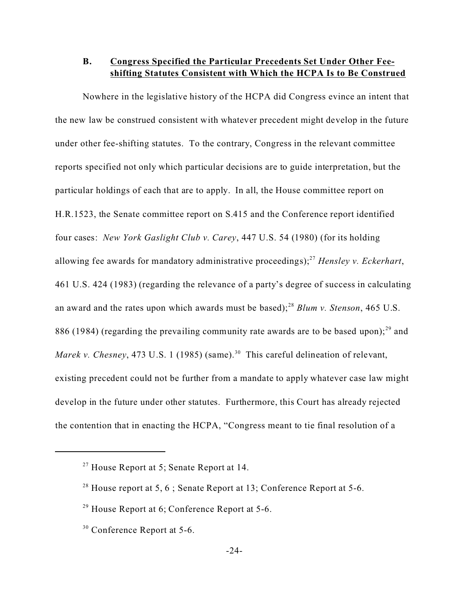### **B. Congress Specified the Particular Precedents Set Under Other Feeshifting Statutes Consistent with Which the HCPA Is to Be Construed**

Nowhere in the legislative history of the HCPA did Congress evince an intent that the new law be construed consistent with whatever precedent might develop in the future under other fee-shifting statutes. To the contrary, Congress in the relevant committee reports specified not only which particular decisions are to guide interpretation, but the particular holdings of each that are to apply. In all, the House committee report on H.R.1523, the Senate committee report on S.415 and the Conference report identified four cases: *New York Gaslight Club v. Carey*, 447 U.S. 54 (1980) (for its holding allowing fee awards for mandatory administrative proceedings);<sup>27</sup> *Hensley v. Eckerhart*, 461 U.S. 424 (1983) (regarding the relevance of a party's degree of success in calculating an award and the rates upon which awards must be based);<sup>28</sup> *Blum v. Stenson*, 465 U.S. 886 (1984) (regarding the prevailing community rate awards are to be based upon); $^{29}$  and *Marek v. Chesney*, 473 U.S. 1 (1985) (same).<sup>30</sup> This careful delineation of relevant, existing precedent could not be further from a mandate to apply whatever case law might develop in the future under other statutes. Furthermore, this Court has already rejected the contention that in enacting the HCPA, "Congress meant to tie final resolution of a

 $27$  House Report at 5; Senate Report at 14.

<sup>&</sup>lt;sup>28</sup> House report at 5, 6; Senate Report at 13; Conference Report at 5-6.

 $29$  House Report at 6; Conference Report at 5-6.

<sup>&</sup>lt;sup>30</sup> Conference Report at 5-6.